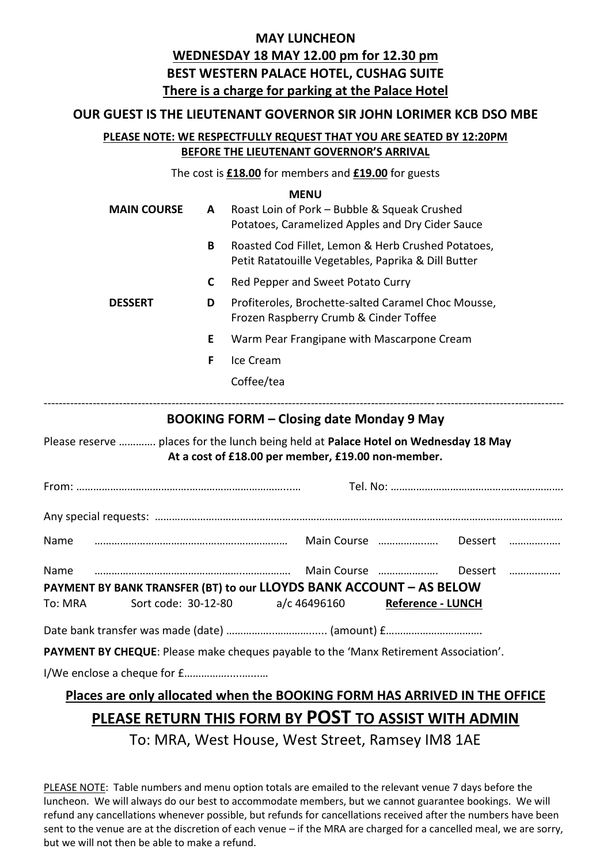### **MAY LUNCHEON WEDNESDAY 18 MAY 12.00 pm for 12.30 pm BEST WESTERN PALACE HOTEL, CUSHAG SUITE There is a charge for parking at the Palace Hotel**

### **OUR GUEST IS THE LIEUTENANT GOVERNOR SIR JOHN LORIMER KCB DSO MBE**

### **PLEASE NOTE: WE RESPECTFULLY REQUEST THAT YOU ARE SEATED BY 12:20PM BEFORE THE LIEUTENANT GOVERNOR'S ARRIVAL**

The cost is **£18.00** for members and **£19.00** for guests

**MENU MAIN COURSE A** Roast Loin of Pork – Bubble & Squeak Crushed Potatoes, Caramelized Apples and Dry Cider Sauce **B** Roasted Cod Fillet, Lemon & Herb Crushed Potatoes, Petit Ratatouille Vegetables, Paprika & Dill Butter **C** Red Pepper and Sweet Potato Curry **DESSERT D** Profiteroles, Brochette-salted Caramel Choc Mousse, Frozen Raspberry Crumb & Cinder Toffee **E** Warm Pear Frangipane with Mascarpone Cream **F** Ice Cream Coffee/tea ------------------------------------------------------------------------------------------------------------------------------------------ **BOOKING FORM – Closing date Monday 9 May** Please reserve …………. places for the lunch being held at **Palace Hotel on Wednesday 18 May At a cost of £18.00 per member, £19.00 non-member.** From: ………………………………….……………………………...… Tel. No: ……………………………………………………. Any special requests: ……………………………………………………………………………………………………………………………… Name ………………………………….……….……………… Main Course ……………..…. Dessert …………..…. Name …………………………………………………………… Main Course ……………… Dessert ……………… **PAYMENT BY BANK TRANSFER (BT) to our LLOYDS BANK ACCOUNT – AS BELOW** To: MRA Sort code: 30-12-80 a/c 46496160 **Reference - LUNCH** Date bank transfer was made (date) ……………..…………...... (amount) £……………………………. **PAYMENT BY CHEQUE**: Please make cheques payable to the 'Manx Retirement Association'. I/We enclose a cheque for £…………….....…...… **Places are only allocated when the BOOKING FORM HAS ARRIVED IN THE OFFICE**

### **PLEASE RETURN THIS FORM BY POST TO ASSIST WITH ADMIN**

To: MRA, West House, West Street, Ramsey IM8 1AE

PLEASE NOTE: Table numbers and menu option totals are emailed to the relevant venue 7 days before the luncheon. We will always do our best to accommodate members, but we cannot guarantee bookings. We will refund any cancellations whenever possible, but refunds for cancellations received after the numbers have been sent to the venue are at the discretion of each venue – if the MRA are charged for a cancelled meal, we are sorry, but we will not then be able to make a refund.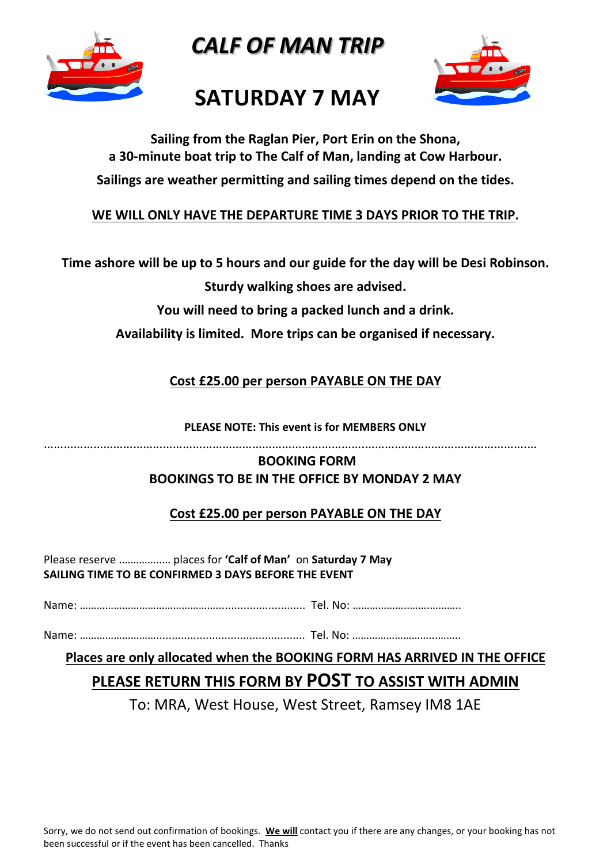

*CALF OF MAN TRIP*



## **SATURDAY 7 MAY**

**Sailing from the Raglan Pier, Port Erin on the Shona, a 30-minute boat trip to The Calf of Man, landing at Cow Harbour. Sailings are weather permitting and sailing times depend on the tides.**

### **WE WILL ONLY HAVE THE DEPARTURE TIME 3 DAYS PRIOR TO THE TRIP.**

**Time ashore will be up to 5 hours and our guide for the day will be Desi Robinson.**

**Sturdy walking shoes are advised.** 

**You will need to bring a packed lunch and a drink.**

**Availability is limited. More trips can be organised if necessary.**

**Cost £25.00 per person PAYABLE ON THE DAY**

**PLEASE NOTE: This event is for MEMBERS ONLY**

…………………………………………………………………………………….………………………………………….…

### **BOOKING FORM BOOKINGS TO BE IN THE OFFICE BY MONDAY 2 MAY**

### **Cost £25.00 per person PAYABLE ON THE DAY**

Please reserve .…………..… places for **'Calf of Man'** on **Saturday 7 May SAILING TIME TO BE CONFIRMED 3 DAYS BEFORE THE EVENT**

Name: …………………………………………............................. Tel. No: ………………..…….………..

Name: ………………………................................................ Tel. No: ………………………...……..

**Places are only allocated when the BOOKING FORM HAS ARRIVED IN THE OFFICE**

### **PLEASE RETURN THIS FORM BY POST TO ASSIST WITH ADMIN**

To: MRA, West House, West Street, Ramsey IM8 1AE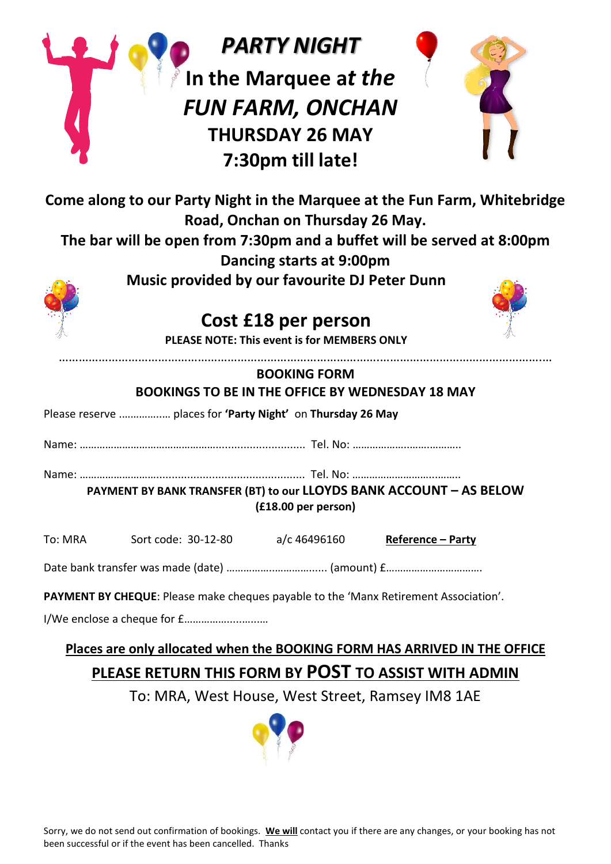|                                                                                                                                                                                                                                                                                                                                            |                                                             | <b>PARTY NIGHT</b>                                                                              |                   |  |  |  |
|--------------------------------------------------------------------------------------------------------------------------------------------------------------------------------------------------------------------------------------------------------------------------------------------------------------------------------------------|-------------------------------------------------------------|-------------------------------------------------------------------------------------------------|-------------------|--|--|--|
|                                                                                                                                                                                                                                                                                                                                            |                                                             | In the Marquee at the<br><b>FUN FARM, ONCHAN</b><br><b>THURSDAY 26 MAY</b><br>7:30pm till late! |                   |  |  |  |
| Come along to our Party Night in the Marquee at the Fun Farm, Whitebridge<br>Road, Onchan on Thursday 26 May.<br>The bar will be open from 7:30pm and a buffet will be served at 8:00pm<br>Dancing starts at 9:00pm<br>Music provided by our favourite DJ Peter Dunn<br>Cost £18 per person<br>PLEASE NOTE: This event is for MEMBERS ONLY |                                                             |                                                                                                 |                   |  |  |  |
| <b>BOOKING FORM</b><br><b>BOOKINGS TO BE IN THE OFFICE BY WEDNESDAY 18 MAY</b>                                                                                                                                                                                                                                                             |                                                             |                                                                                                 |                   |  |  |  |
|                                                                                                                                                                                                                                                                                                                                            | Please reserve  places for 'Party Night' on Thursday 26 May |                                                                                                 |                   |  |  |  |
|                                                                                                                                                                                                                                                                                                                                            |                                                             |                                                                                                 |                   |  |  |  |
| PAYMENT BY BANK TRANSFER (BT) to our LLOYDS BANK ACCOUNT - AS BELOW<br>(£18.00 per person)                                                                                                                                                                                                                                                 |                                                             |                                                                                                 |                   |  |  |  |
| To: MRA                                                                                                                                                                                                                                                                                                                                    | Sort code: 30-12-80                                         | a/c 46496160                                                                                    | Reference - Party |  |  |  |
|                                                                                                                                                                                                                                                                                                                                            |                                                             |                                                                                                 |                   |  |  |  |
| PAYMENT BY CHEQUE: Please make cheques payable to the 'Manx Retirement Association'.                                                                                                                                                                                                                                                       |                                                             |                                                                                                 |                   |  |  |  |
| I/We enclose a cheque for f                                                                                                                                                                                                                                                                                                                |                                                             |                                                                                                 |                   |  |  |  |
| Places are only allocated when the BOOKING FORM HAS ARRIVED IN THE OFFICE                                                                                                                                                                                                                                                                  |                                                             |                                                                                                 |                   |  |  |  |
| PLEASE RETURN THIS FORM BY POST TO ASSIST WITH ADMIN                                                                                                                                                                                                                                                                                       |                                                             |                                                                                                 |                   |  |  |  |
| To: MRA, West House, West Street, Ramsey IM8 1AE                                                                                                                                                                                                                                                                                           |                                                             |                                                                                                 |                   |  |  |  |

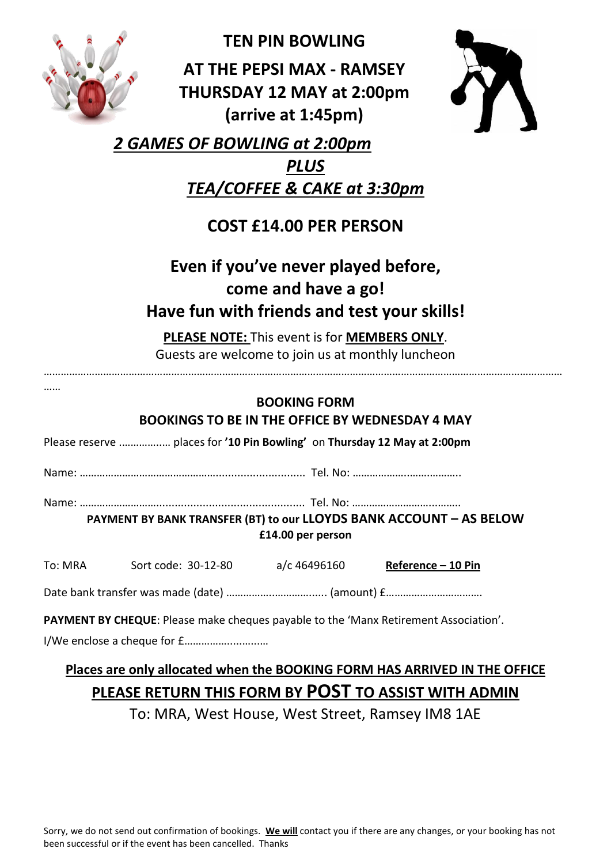|                                                                                          | <b>TEN PIN BOWLING</b>                                    |  |  |  |  |  |  |
|------------------------------------------------------------------------------------------|-----------------------------------------------------------|--|--|--|--|--|--|
|                                                                                          | <b>AT THE PEPSI MAX - RAMSEY</b>                          |  |  |  |  |  |  |
|                                                                                          | <b>THURSDAY 12 MAY at 2:00pm</b>                          |  |  |  |  |  |  |
|                                                                                          | (arrive at 1:45pm)                                        |  |  |  |  |  |  |
| 2 GAMES OF BOWLING at 2:00pm                                                             |                                                           |  |  |  |  |  |  |
| <b>PLUS</b>                                                                              |                                                           |  |  |  |  |  |  |
| TEA/COFFEE & CAKE at 3:30pm                                                              |                                                           |  |  |  |  |  |  |
| <b>COST £14.00 PER PERSON</b>                                                            |                                                           |  |  |  |  |  |  |
| Even if you've never played before,                                                      |                                                           |  |  |  |  |  |  |
|                                                                                          | come and have a go!                                       |  |  |  |  |  |  |
|                                                                                          | Have fun with friends and test your skills!               |  |  |  |  |  |  |
|                                                                                          | PLEASE NOTE: This event is for MEMBERS ONLY.              |  |  |  |  |  |  |
| Guests are welcome to join us at monthly luncheon                                        |                                                           |  |  |  |  |  |  |
|                                                                                          | <b>BOOKING FORM</b>                                       |  |  |  |  |  |  |
|                                                                                          | <b>BOOKINGS TO BE IN THE OFFICE BY WEDNESDAY 4 MAY</b>    |  |  |  |  |  |  |
| Please reserve  places for '10 Pin Bowling' on Thursday 12 May at 2:00pm                 |                                                           |  |  |  |  |  |  |
|                                                                                          |                                                           |  |  |  |  |  |  |
|                                                                                          |                                                           |  |  |  |  |  |  |
| PAYMENT BY BANK TRANSFER (BT) to our LLOYDS BANK ACCOUNT - AS BELOW<br>£14.00 per person |                                                           |  |  |  |  |  |  |
| To: MRA                                                                                  | Sort code: 30-12-80<br>a/c 46496160<br>Reference - 10 Pin |  |  |  |  |  |  |
|                                                                                          |                                                           |  |  |  |  |  |  |
| PAYMENT BY CHEQUE: Please make cheques payable to the 'Manx Retirement Association'.     |                                                           |  |  |  |  |  |  |

I/We enclose a cheque for £…………….....…...…

### **Places are only allocated when the BOOKING FORM HAS ARRIVED IN THE OFFICE PLEASE RETURN THIS FORM BY POST TO ASSIST WITH ADMIN**

To: MRA, West House, West Street, Ramsey IM8 1AE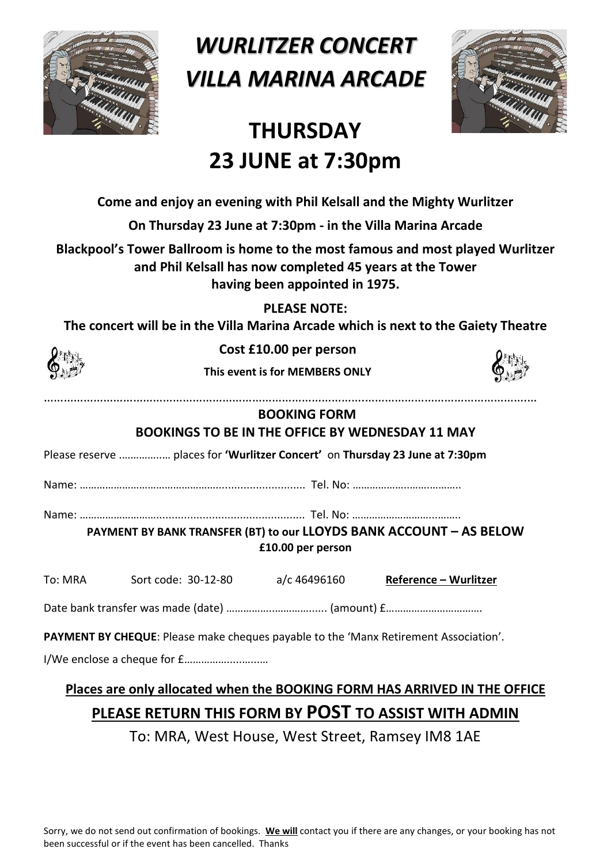

*WURLITZER CONCERT VILLA MARINA ARCADE* 



# **THURSDAY 23 JUNE at 7:30pm**

**Come and enjoy an evening with Phil Kelsall and the Mighty Wurlitzer**

**On Thursday 23 June at 7:30pm - in the Villa Marina Arcade**

**Blackpool's Tower Ballroom is home to the most famous and most played Wurlitzer and Phil Kelsall has now completed 45 years at the Tower having been appointed in 1975.**

**PLEASE NOTE:** 

**The concert will be in the Villa Marina Arcade which is next to the Gaiety Theatre**



**Cost £10.00 per person**

**This event is for MEMBERS ONLY**



**BOOKING FORM BOOKINGS TO BE IN THE OFFICE BY WEDNESDAY 11 MAY**

…………………………………………………………………………………….………………………………………….…

Please reserve .…………..… places for **'Wurlitzer Concert'** on **Thursday 23 June at 7:30pm**

Name: …………………………………………............................. Tel. No: ………………..…….………..

Name: ………………………................................................ Tel. No: ………………………...……..

**PAYMENT BY BANK TRANSFER (BT) to our LLOYDS BANK ACCOUNT – AS BELOW £10.00 per person**

| To: MRA | Sort code: 30-12-80 | a/c 46496160 | Reference - Wurlitzer |
|---------|---------------------|--------------|-----------------------|
|         |                     |              |                       |

Date bank transfer was made (date) ……………..…………...... (amount) £…………………………….

**PAYMENT BY CHEQUE**: Please make cheques payable to the 'Manx Retirement Association'.

I/We enclose a cheque for £…………….....…...…

### **Places are only allocated when the BOOKING FORM HAS ARRIVED IN THE OFFICE PLEASE RETURN THIS FORM BY POST TO ASSIST WITH ADMIN**

To: MRA, West House, West Street, Ramsey IM8 1AE